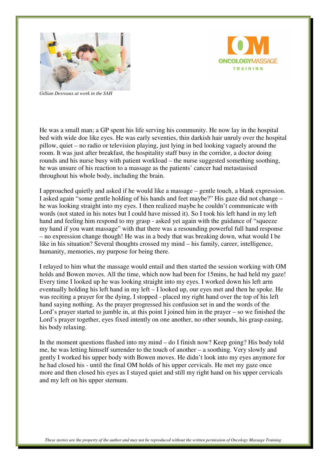



*Gillian Desreaux at work in the SAH* 

He was a small man; a GP spent his life serving his community. He now lay in the hospital bed with wide doe like eyes. He was early seventies, thin darkish hair unruly over the hospital pillow, quiet – no radio or television playing, just lying in bed looking vaguely around the room. It was just after breakfast, the hospitality staff busy in the corridor, a doctor doing rounds and his nurse busy with patient workload – the nurse suggested something soothing, he was unsure of his reaction to a massage as the patients' cancer had metastasised throughout his whole body, including the brain.

I approached quietly and asked if he would like a massage – gentle touch, a blank expression. I asked again "some gentle holding of his hands and feet maybe?" His gaze did not change – he was looking straight into my eyes. I then realized maybe he couldn't communicate with words (not stated in his notes but I could have missed it). So I took his left hand in my left hand and feeling him respond to my grasp - asked yet again with the guidance of "squeeze my hand if you want massage" with that there was a resounding powerful full hand response – no expression change though! He was in a body that was breaking down, what would I be like in his situation? Several thoughts crossed my mind – his family, career, intelligence, humanity, memories, my purpose for being there.

I relayed to him what the massage would entail and then started the session working with OM holds and Bowen moves. All the time, which now had been for 15mins, he had held my gaze! Every time I looked up he was looking straight into my eyes. I worked down his left arm eventually holding his left hand in my left – I looked up, our eyes met and then he spoke. He was reciting a prayer for the dying, I stopped - placed my right hand over the top of his left hand saying nothing. As the prayer progressed his confusion set in and the words of the Lord's prayer started to jumble in, at this point I joined him in the prayer – so we finished the Lord's prayer together, eyes fixed intently on one another, no other sounds, his grasp easing, his body relaxing.

In the moment questions flashed into my mind – do I finish now? Keep going? His body told me, he was letting himself surrender to the touch of another – a soothing. Very slowly and gently I worked his upper body with Bowen moves. He didn't look into my eyes anymore for he had closed his - until the final OM holds of his upper cervicals. He met my gaze once more and then closed his eyes as I stayed quiet and still my right hand on his upper cervicals and my left on his upper sternum.